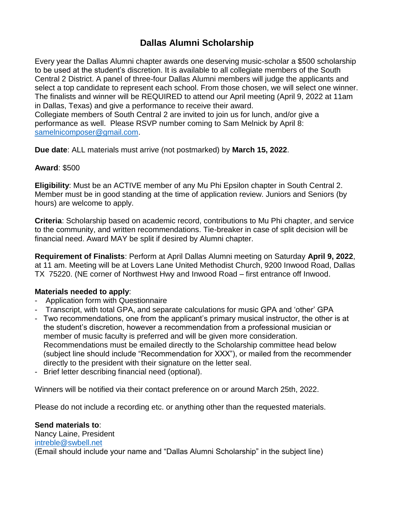## **Dallas Alumni Scholarship**

Every year the Dallas Alumni chapter awards one deserving music-scholar a \$500 scholarship to be used at the student's discretion. It is available to all collegiate members of the South Central 2 District. A panel of three-four Dallas Alumni members will judge the applicants and select a top candidate to represent each school. From those chosen, we will select one winner. The finalists and winner will be REQUIRED to attend our April meeting (April 9, 2022 at 11am in Dallas, Texas) and give a performance to receive their award. Collegiate members of South Central 2 are invited to join us for lunch, and/or give a performance as well. Please RSVP number coming to Sam Melnick by April 8: [samelnicomposer@gmail.com.](mailto:samelnicomposer@gmail.com)

**Due date**: ALL materials must arrive (not postmarked) by **March 15, 2022**.

#### **Award**: \$500

**Eligibility**: Must be an ACTIVE member of any Mu Phi Epsilon chapter in South Central 2. Member must be in good standing at the time of application review. Juniors and Seniors (by hours) are welcome to apply.

**Criteria**: Scholarship based on academic record, contributions to Mu Phi chapter, and service to the community, and written recommendations. Tie-breaker in case of split decision will be financial need. Award MAY be split if desired by Alumni chapter.

**Requirement of Finalists**: Perform at April Dallas Alumni meeting on Saturday **April 9, 2022**, at 11 am. Meeting will be at Lovers Lane United Methodist Church, 9200 Inwood Road, Dallas TX 75220. (NE corner of Northwest Hwy and Inwood Road – first entrance off Inwood.

#### **Materials needed to apply**:

- Application form with Questionnaire
- Transcript, with total GPA, and separate calculations for music GPA and 'other' GPA
- Two recommendations, one from the applicant's primary musical instructor, the other is at the student's discretion, however a recommendation from a professional musician or member of music faculty is preferred and will be given more consideration. Recommendations must be emailed directly to the Scholarship committee head below (subject line should include "Recommendation for XXX"), or mailed from the recommender directly to the president with their signature on the letter seal.
- Brief letter describing financial need (optional).

Winners will be notified via their contact preference on or around March 25th, 2022.

Please do not include a recording etc. or anything other than the requested materials.

**Send materials to**: Nancy Laine, President [intreble@swbell.net](mailto:intreble@swbell.net) (Email should include your name and "Dallas Alumni Scholarship" in the subject line)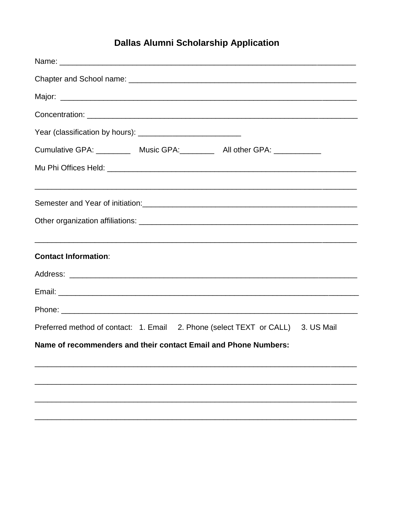# **Dallas Alumni Scholarship Application**

| Year (classification by hours): _______________________________                  |
|----------------------------------------------------------------------------------|
| Cumulative GPA: ____________ Music GPA: ___________ All other GPA: _____________ |
|                                                                                  |
|                                                                                  |
|                                                                                  |
| <b>Contact Information:</b>                                                      |
|                                                                                  |
|                                                                                  |
|                                                                                  |
| Preferred method of contact: 1. Email 2. Phone (select TEXT or CALL) 3. US Mail  |
| Name of recommenders and their contact Email and Phone Numbers:                  |
|                                                                                  |
|                                                                                  |
|                                                                                  |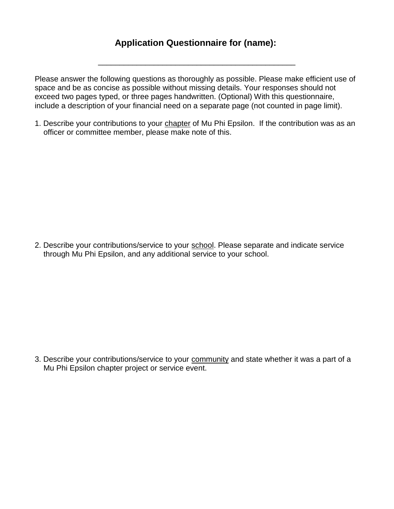### **Application Questionnaire for (name):**

\_\_\_\_\_\_\_\_\_\_\_\_\_\_\_\_\_\_\_\_\_\_\_\_\_\_\_\_\_\_\_\_\_\_\_\_\_\_\_\_\_\_\_\_\_\_

Please answer the following questions as thoroughly as possible. Please make efficient use of space and be as concise as possible without missing details. Your responses should not exceed two pages typed, or three pages handwritten. (Optional) With this questionnaire, include a description of your financial need on a separate page (not counted in page limit).

1. Describe your contributions to your chapter of Mu Phi Epsilon. If the contribution was as an officer or committee member, please make note of this.

2. Describe your contributions/service to your school. Please separate and indicate service through Mu Phi Epsilon, and any additional service to your school.

3. Describe your contributions/service to your community and state whether it was a part of a Mu Phi Epsilon chapter project or service event.